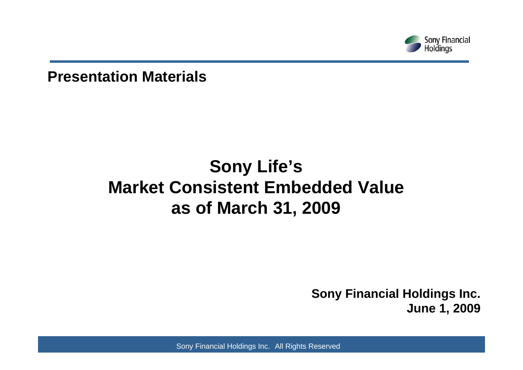

**Presentation Materials**

### **Sony Life's Market Consistent Embedded Value as of March 31, 2009**

**Sony Financial Holdings Inc. June 1, 2009**

Sony Financial Holdings Inc. All Rights Reserved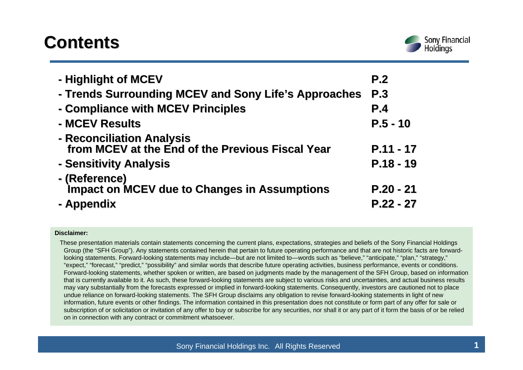### **Contents Contents**



| - Highlight of MCEV                                                           | P.2                        |
|-------------------------------------------------------------------------------|----------------------------|
| - Trends Surrounding MCEV and Sony Life's Approaches                          | P.3                        |
| - Compliance with MCEV Principles                                             | P.4                        |
| - MCEV Results                                                                | $P.5 - 10$                 |
| - Reconciliation Analysis<br>from MCEV at the End of the Previous Fiscal Year | $P.11 - 17$                |
| - Sensitivity Analysis                                                        | $P.18 - 19$                |
| - (Reference)<br>Impact on MCEV due to Changes in Assumptions<br>- Appendix   | $P.20 - 21$<br>$P.22 - 27$ |

#### **Disclaimer:**

These presentation materials contain statements concerning the current plans, expectations, strategies and beliefs of the Sony Financial Holdings Group (the "SFH Group"). Any statements contained herein that pertain to future operating performance and that are not historic facts are forwardlooking statements. Forward-looking statements may include—but are not limited to—words such as "believe," "anticipate," "plan," "strategy," "expect," "forecast," "predict," "possibility" and similar words that describe future operating activities, business performance, events or conditions. Forward-looking statements, whether spoken or written, are based on judgments made by the management of the SFH Group, based on information that is currently available to it. As such, these forward-looking statements are subject to various risks and uncertainties, and actual business results may vary substantially from the forecasts expressed or implied in forward-looking statements. Consequently, investors are cautioned not to place undue reliance on forward-looking statements. The SFH Group disclaims any obligation to revise forward-looking statements in light of new information, future events or other findings. The information contained in this presentation does not constitute or form part of any offer for sale or subscription of or solicitation or invitation of any offer to buy or subscribe for any securities, nor shall it or any part of it form the basis of or be relied on in connection with any contract or commitment whatsoever.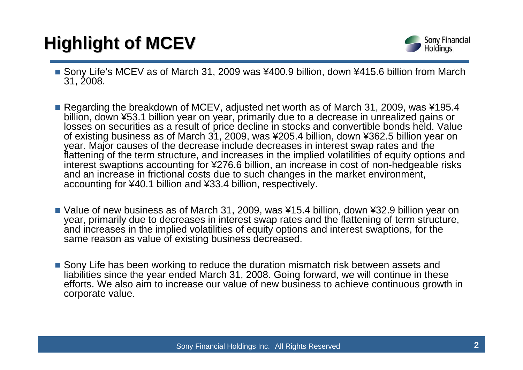# **Highlight of MCEV Highlight of MCEV**



- Sony Life's MCEV as of March 31, 2009 was ¥400.9 billion, down ¥415.6 billion from March 31, 2008.
- Regarding the breakdown of MCEV, adjusted net worth as of March 31, 2009, was ¥195.4 billion, down ¥53.1 billion year on year, primarily due to a decrease in unrealized gains or losses on securities as a result of price decline in stocks and convertible bonds held. Value of existing business as of March 31, 2009, was ¥205.4 billion, down ¥362.5 billion year on year. Major causes of the decrease include decreases in interest swap rates and the flattening of the term structure, and increases in the implied volatilities of equity options and interest swaptions accounting for ¥276.6 billion, an increase in cost of non-hedgeable risks and an increase in frictional costs due to such changes in the market environment, accounting for ¥40.1 billion and ¥33.4 billion, respectively.
- Value of new business as of March 31, 2009, was ¥15.4 billion, down ¥32.9 billion year on year, primarily due to decreases in interest swap rates and the flattening of term structure, and increases in the implied volatilities of equity options and interest swaptions, for the same reason as value of existing business decreased.
- Sony Life has been working to reduce the duration mismatch risk between assets and liabilities since the year ended March 31, 2008. Going forward, we will continue in these efforts. We also aim to increase our value of new business to achieve continuous growth in corporate value.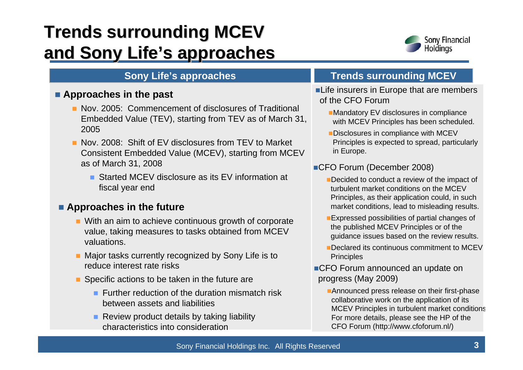## **Trends surrounding MCEV and Sony Life and Sony Life's approaches s approaches**



### **Approaches in the past**

- **Nov. 2005: Commencement of disclosures of Traditional** Embedded Value (TEV), starting from TEV as of March 31, 2005
- **Nov. 2008: Shift of EV disclosures from TEV to Market** Consistent Embedded Value (MCEV), starting from MCEV as of March 31, 2008
	- Started MCEV disclosure as its EV information at fiscal year end

### **Approaches in the future**

- **Nith an aim to achieve continuous growth of corporate** value, taking measures to tasks obtained from MCEV valuations.
- Major tasks currently recognized by Sony Life is to reduce interest rate risks
- Specific actions to be taken in the future are
	- **Further reduction of the duration mismatch risk** between assets and liabilities
	- **Review product details by taking liability** characteristics into consideration

### **Sony Life's approaches TRICH REVIVE SURFEY**

- **Life insurers in Europe that are members** of the CFO Forum
	- **Mandatory EV disclosures in compliance** with MCEV Principles has been scheduled.
	- Disclosures in compliance with MCEV Principles is expected to spread, particularly in Europe.
- ■CFO Forum (December 2008)
	- Decided to conduct a review of the impact of turbulent market conditions on the MCEV Principles, as their application could, in such market conditions, lead to misleading results.
	- **Expressed possibilities of partial changes of** the published MCEV Principles or of the guidance issues based on the review results.
	- Declared its continuous commitment to MCEV **Principles**
- ■CFO Forum announced an update on progress (May 2009)
	- **Announced press release on their first-phase** collaborative work on the application of its MCEV Principles in turbulent market condition s For more details, please see the HP of the CFO Forum (http://www.cfoforum.nl/)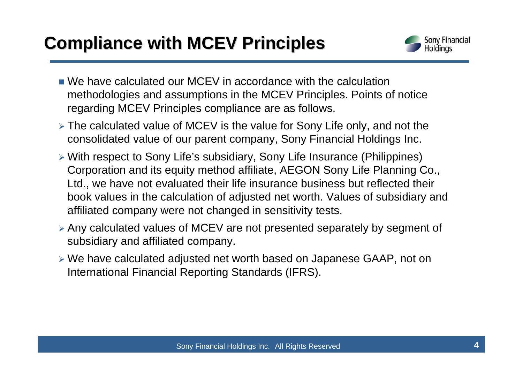### **Compliance with MCEV Principles Compliance with MCEV Principles**



- We have calculated our MCEV in accordance with the calculation methodologies and assumptions in the MCEV Principles. Points of notice regarding MCEV Principles compliance are as follows.
- ¾ The calculated value of MCEV is the value for Sony Life only, and not the consolidated value of our parent company, Sony Financial Holdings Inc.
- ¾ With respect to Sony Life's subsidiary, Sony Life Insurance (Philippines) Corporation and its equity method affiliate, AEGON Sony Life Planning Co., Ltd., we have not evaluated their life insurance business but reflected their book values in the calculation of adjusted net worth. Values of subsidiary and affiliated company were not changed in sensitivity tests.
- ¾ Any calculated values of MCEV are not presented separately by segment of subsidiary and affiliated company.
- ¾ We have calculated adjusted net worth based on Japanese GAAP, not on International Financial Reporting Standards (IFRS).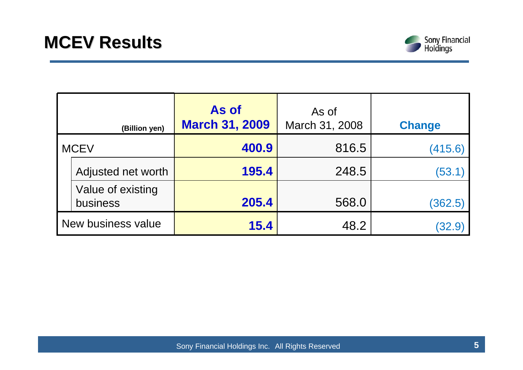

|                    | (Billion yen)                 | As of<br><b>March 31, 2009</b> | As of<br>March 31, 2008 | <b>Change</b> |
|--------------------|-------------------------------|--------------------------------|-------------------------|---------------|
| <b>MCEV</b>        |                               | 400.9                          | 816.5                   | (415.6)       |
|                    | Adjusted net worth            | 195.4                          | 248.5                   | (53.1)        |
|                    | Value of existing<br>business | 205.4                          | 568.0                   | (362.5)       |
| New business value |                               | 15.4                           | 48.2                    | 32.9          |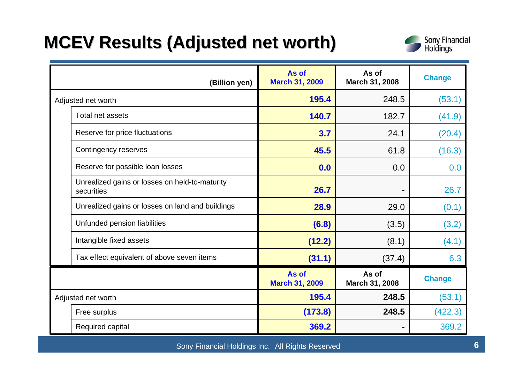### **MCEV Results (Adjusted net worth) MCEV Results (Adjusted net worth)**



| (Billion yen)                                                | As of<br><b>March 31, 2009</b> | As of<br>March 31, 2008 | <b>Change</b> |
|--------------------------------------------------------------|--------------------------------|-------------------------|---------------|
| Adjusted net worth                                           | 195.4                          | 248.5                   | (53.1)        |
| Total net assets                                             | 140.7                          | 182.7                   | (41.9)        |
| Reserve for price fluctuations                               | 3.7                            | 24.1                    | (20.4)        |
| Contingency reserves                                         | 45.5                           | 61.8                    | (16.3)        |
| Reserve for possible loan losses                             | 0.0                            | 0.0                     | 0.0           |
| Unrealized gains or losses on held-to-maturity<br>securities | 26.7                           |                         | 26.7          |
| Unrealized gains or losses on land and buildings             | 28.9                           | 29.0                    | (0.1)         |
| Unfunded pension liabilities                                 | (6.8)                          | (3.5)                   | (3.2)         |
| Intangible fixed assets                                      | (12.2)                         | (8.1)                   | (4.1)         |
| Tax effect equivalent of above seven items                   | (31.1)                         | (37.4)                  | 6.3           |
|                                                              | As of<br><b>March 31, 2009</b> | As of<br>March 31, 2008 | <b>Change</b> |
| Adjusted net worth                                           | 195.4                          | 248.5                   | (53.1)        |
| Free surplus                                                 | (173.8)                        | 248.5                   | (422.3)       |
| Required capital                                             | 369.2                          | ۰                       | 369.2         |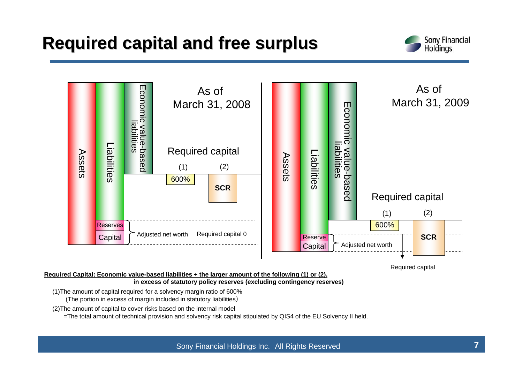### **Required capital and free surplus Required capital and free surplus**





Required capital

#### **Required Capital: Economic value-based liabilities + the larger amount of the following (1) or (2), in excess of statutory policy reserves (excluding contingency reserves)**

(1)The amount of capital required for a solvency margin ratio of 600% (The portion in excess of margin included in statutory liabilities)

(2)The amount of capital to cover risks based on the internal model

=The total amount of technical provision and solvency risk capital stipulated by QIS4 of the EU Solvency II held.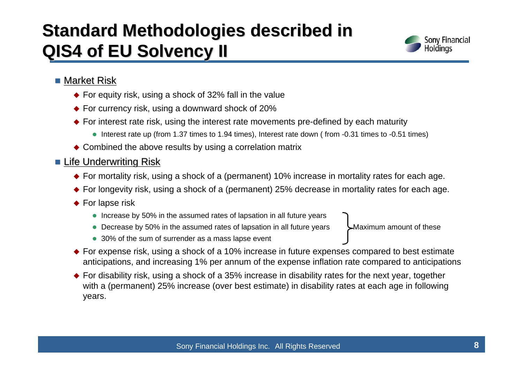### **Standard Methodologies described in QIS4 of EU Solvency II**



### $\blacksquare$  Market Risk

- ◆ For equity risk, using a shock of 32% fall in the value
- ◆ For currency risk, using a downward shock of 20%
- ◆ For interest rate risk, using the interest rate movements pre-defined by each maturity
	- $\bullet$  Interest rate up (from 1.37 times to 1.94 times), Interest rate down (from -0.31 times to -0.51 times)
- ◆ Combined the above results by using a correlation matrix

### ■ <u>Life Underwriting Risk</u>

- ◆ For mortality risk, using a shock of a (permanent) 10% increase in mortality rates for each age.
- ◆ For longevity risk, using a shock of a (permanent) 25% decrease in mortality rates for each age.
- ◆ For lapse risk
	- Increase by 50% in the assumed rates of lapsation in all future years
	- Decrease by 50% in the assumed rates of lapsation in all future years  $\blacktriangleright$  Maximum amount of these

- 30% of the sum of surrender as a mass lapse event
- ◆ For expense risk, using a shock of a 10% increase in future expenses compared to best estimate anticipations, and increasing 1% per annum of the expense inflation rate compared to anticipations
- ◆ For disability risk, using a shock of a 35% increase in disability rates for the next year, together with a (permanent) 25% increase (over best estimate) in disability rates at each age in following years.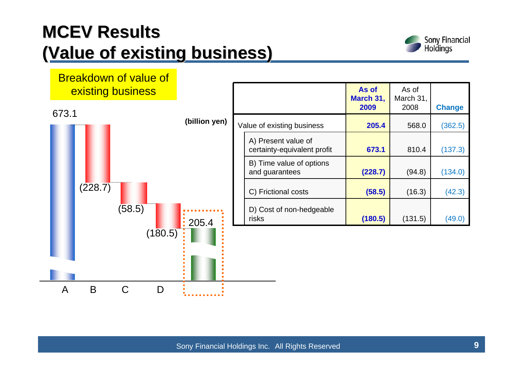## **MCEV Results (Value of existing business) (Value of existing business)**



## Breakdown of value of existing business 673.1**(billion yen)** and guarantees



|                            |                                                    | As of<br>March 31,<br>2009 | As of<br>March 31,<br>2008 | <b>Change</b> |
|----------------------------|----------------------------------------------------|----------------------------|----------------------------|---------------|
| Value of existing business |                                                    | 205.4                      | 568.0                      | (362.5)       |
|                            | A) Present value of<br>certainty-equivalent profit | 673.1                      | 810.4                      | (137.3)       |
|                            | B) Time value of options<br>and guarantees         | (228.7)                    | (94.8)                     | (134.0)       |
|                            | C) Frictional costs                                | (58.5)                     | (16.3)                     | (42.3)        |
|                            | D) Cost of non-hedgeable<br>risks                  | (180.5)                    | (131.5)                    | (49.0         |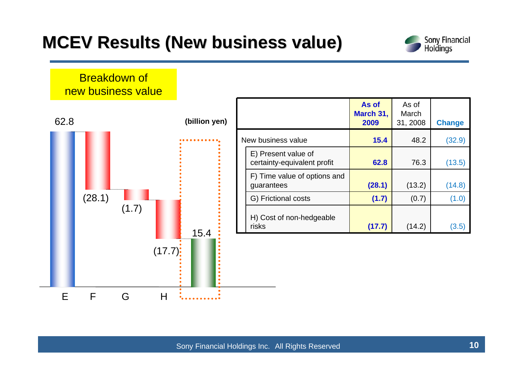### **MCEV Results (New business value) MCEV Results (New business value)**



### Breakdown of new business value



|                                                    | As of<br>March 31,<br>2009 | As of<br>March<br>31, 2008 | <b>Change</b> |
|----------------------------------------------------|----------------------------|----------------------------|---------------|
| New business value                                 | 15.4                       | 48.2                       | (32.9)        |
| E) Present value of<br>certainty-equivalent profit | 62.8                       | 76.3                       | (13.5)        |
| F) Time value of options and<br>guarantees         | (28.1)                     | (13.2)                     | (14.8)        |
| G) Frictional costs                                | (1.7)                      | (0.7)                      | (1.0)         |
| H) Cost of non-hedgeable<br>risks                  | (17.7)                     | (14.2)                     | (3.5          |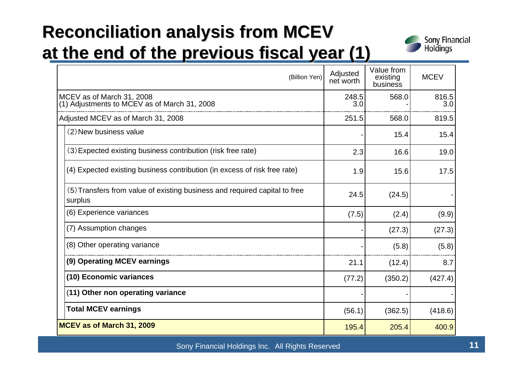## **Reconciliation analysis from MCEV at the end of the previous fiscal year (1)**



| (Billion Yen)                                                                         | Adjusted<br>net worth | Value from<br>existing<br>business | <b>MCEV</b>  |
|---------------------------------------------------------------------------------------|-----------------------|------------------------------------|--------------|
| MCEV as of March 31, 2008<br>(1) Adjustments to MCEV as of March 31, 2008             | 248.5<br>3.0          | 568.0                              | 816.5<br>3.0 |
| Adjusted MCEV as of March 31, 2008                                                    | 251.5                 | 568.0                              | 819.5        |
| (2) New business value                                                                |                       | 15.4                               | 15.4         |
| (3) Expected existing business contribution (risk free rate)                          | 2.3                   | 16.6                               | 19.0         |
| (4) Expected existing business contribution (in excess of risk free rate)             | 1.9                   | 15.6                               | 17.5         |
| (5) Transfers from value of existing business and required capital to free<br>surplus | 24.5                  | (24.5)                             |              |
| (6) Experience variances                                                              | (7.5)                 | (2.4)                              | (9.9)        |
| (7) Assumption changes                                                                |                       | (27.3)                             | (27.3)       |
| (8) Other operating variance                                                          |                       | (5.8)                              | (5.8)        |
| (9) Operating MCEV earnings                                                           | 21.1                  | (12.4)                             | 8.7          |
| (10) Economic variances                                                               | (77.2)                | (350.2)                            | (427.4)      |
| (11) Other non operating variance                                                     |                       |                                    |              |
| <b>Total MCEV earnings</b>                                                            | (56.1)                | (362.5)                            | (418.6)      |
| MCEV as of March 31, 2009                                                             | 195.4                 | 205.4                              | 400.9        |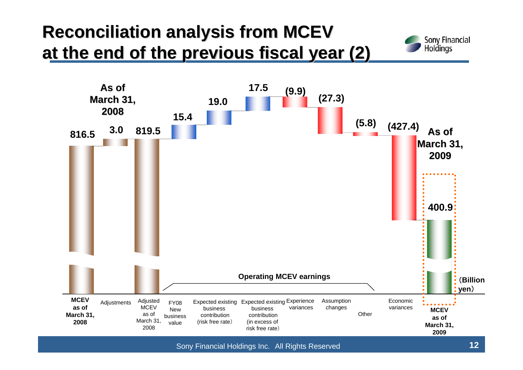## **Reconciliation analysis from MCEV at the end of the previous fiscal year (2)**





Sony Financial Holdings Inc. All Rights Reserved **12**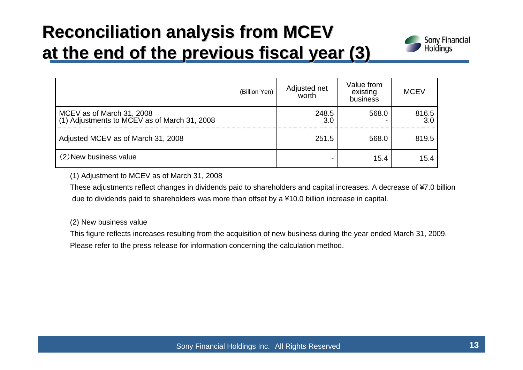## **Reconciliation analysis from MCEV at the end of the previous fiscal year (3)**



| (Billion Yen)                                                             | Adjusted net<br>worth | Value from<br>existing<br>business | <b>MCEV</b>  |
|---------------------------------------------------------------------------|-----------------------|------------------------------------|--------------|
| MCEV as of March 31, 2008<br>(1) Adjustments to MCEV as of March 31, 2008 | 248.5                 | 568.0                              | 816.5<br>3.0 |
| Adjusted MCEV as of March 31, 2008                                        | 251.5                 | 568.0                              | 819.5        |
| (2) New business value                                                    |                       | 15.4                               | 15.4         |

(1) Adjustment to MCEV as of March 31, 2008

These adjustments reflect changes in dividends paid to shareholders and capital increases. A decrease of ¥7.0 billion due to dividends paid to shareholders was more than offset by a ¥10.0 billion increase in capital.

(2) New business value

This figure reflects increases resulting from the acquisition of new business during the year ended March 31, 2009. Please refer to the press release for information concerning the calculation method.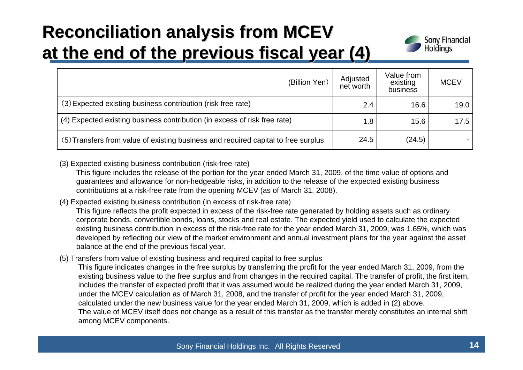## **Reconciliation analysis from MCEV at the end of the previous fiscal year (4)**



| (Billion Yen)                                                                      | Adjusted<br>net worth | Value from<br>existing<br>business | <b>MCEV</b> |
|------------------------------------------------------------------------------------|-----------------------|------------------------------------|-------------|
| (3) Expected existing business contribution (risk free rate)                       | 2.4                   | 16.6                               | 19.0        |
| (4) Expected existing business contribution (in excess of risk free rate)          | 1.8                   | 15.6                               | 17.5        |
| (5) Transfers from value of existing business and required capital to free surplus | 24.5                  | (24.5)                             |             |

(3) Expected existing business contribution (risk-free rate)

This figure includes the release of the portion for the year ended March 31, 2009, of the time value of options and guarantees and allowance for non-hedgeable risks, in addition to the release of the expected existing business contributions at a risk-free rate from the opening MCEV (as of March 31, 2008).

(4) Expected existing business contribution (in excess of risk-free rate)

This figure reflects the profit expected in excess of the risk-free rate generated by holding assets such as ordinary corporate bonds, convertible bonds, loans, stocks and real estate. The expected yield used to calculate the expected existing business contribution in excess of the risk-free rate for the year ended March 31, 2009, was 1.65%, which was developed by reflecting our view of the market environment and annual investment plans for the year against the asset balance at the end of the previous fiscal year.

(5) Transfers from value of existing business and required capital to free surplus

This figure indicates changes in the free surplus by transferring the profit for the year ended March 31, 2009, from the existing business value to the free surplus and from changes in the required capital. The transfer of profit, the first item, includes the transfer of expected profit that it was assumed would be realized during the year ended March 31, 2009, under the MCEV calculation as of March 31, 2008, and the transfer of profit for the year ended March 31, 2009, calculated under the new business value for the year ended March 31, 2009, which is added in (2) above. The value of MCEV itself does not change as a result of this transfer as the transfer merely constitutes an internal shift among MCEV components.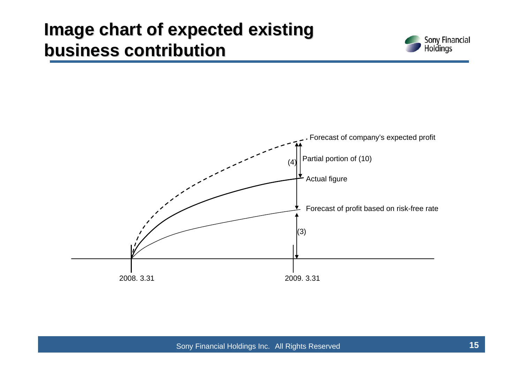### **Image chart of expected existing business contribution business contribution**



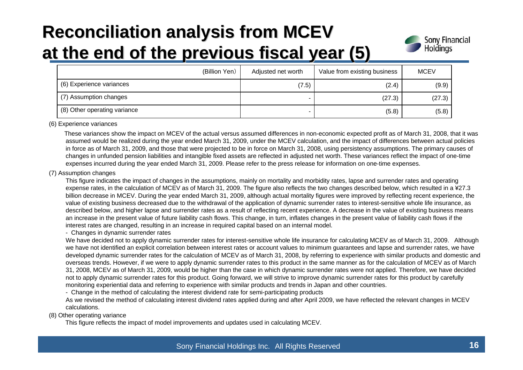## **Reconciliation analysis from MCEV at the end of the previous fiscal year (5)**



| (Billion Yen)                | Adjusted net worth | Value from existing business | <b>MCEV</b> |
|------------------------------|--------------------|------------------------------|-------------|
| (6) Experience variances     | (7.5)              | (2.4)                        | (9.9)       |
| (7) Assumption changes       |                    | (27.3)                       | (27.3)      |
| (8) Other operating variance |                    | (5.8)                        | (5.8)       |

#### (6) Experience variances

These variances show the impact on MCEV of the actual versus assumed differences in non-economic expected profit as of March 31, 2008, that it was assumed would be realized during the year ended March 31, 2009, under the MCEV calculation, and the impact of differences between actual policies in force as of March 31, 2009, and those that were projected to be in force on March 31, 2008, using persistency assumptions. The primary causes of changes in unfunded pension liabilities and intangible fixed assets are reflected in adjusted net worth. These variances reflect the impact of one-time expenses incurred during the year ended March 31, 2009. Please refer to the press release for information on one-time expenses.

#### (7) Assumption changes

This figure indicates the impact of changes in the assumptions, mainly on mortality and morbidity rates, lapse and surrender rates and operating expense rates, in the calculation of MCEV as of March 31, 2009. The figure also reflects the two changes described below, which resulted in a ¥27.3 billion decrease in MCEV. During the year ended March 31, 2009, although actual mortality figures were improved by reflecting recent experience, the value of existing business decreased due to the withdrawal of the application of dynamic surrender rates to interest-sensitive whole life insurance, as described below, and higher lapse and surrender rates as a result of reflecting recent experience. A decrease in the value of existing business means an increase in the present value of future liability cash flows. This change, in turn, inflates changes in the present value of liability cash flows if the interest rates are changed, resulting in an increase in required capital based on an internal model.

#### - Changes in dynamic surrender rates

We have decided not to apply dynamic surrender rates for interest-sensitive whole life insurance for calculating MCEV as of March 31, 2009. Although we have not identified an explicit correlation between interest rates or account values to minimum guarantees and lapse and surrender rates, we have developed dynamic surrender rates for the calculation of MCEV as of March 31, 2008, by referring to experience with similar products and domestic and overseas trends. However, if we were to apply dynamic surrender rates to this product in the same manner as for the calculation of MCEV as of March 31, 2008, MCEV as of March 31, 2009, would be higher than the case in which dynamic surrender rates were not applied. Therefore, we have decided not to apply dynamic surrender rates for this product. Going forward, we will strive to improve dynamic surrender rates for this product by carefully monitoring experiential data and referring to experience with similar products and trends in Japan and other countries.

- Change in the method of calculating the interest dividend rate for semi-participating products

As we revised the method of calculating interest dividend rates applied during and after April 2009, we have reflected the relevant changes in MCEV calculations.

#### (8) Other operating variance

This figure reflects the impact of model improvements and updates used in calculating MCEV.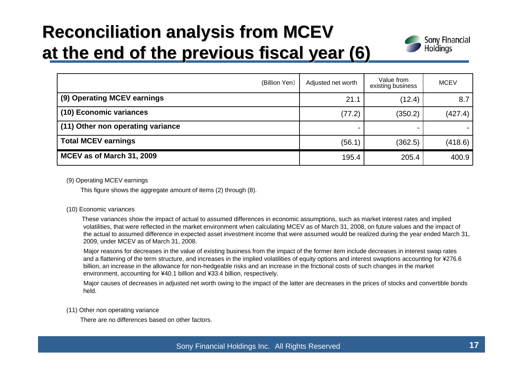### **Reconciliation analysis from MCEV Reconciliation analysis from MCEV at the end of the previous fiscal year (6)**



| (Billion Yen)                     | Adjusted net worth | Value from<br>existing business | <b>MCEV</b> |
|-----------------------------------|--------------------|---------------------------------|-------------|
| (9) Operating MCEV earnings       | 21.1               | (12.4)                          | 8.7         |
| (10) Economic variances           | (77.2)             | (350.2)                         | (427.4)     |
| (11) Other non operating variance |                    |                                 |             |
| <b>Total MCEV earnings</b>        | (56.1)             | (362.5)                         | (418.6)     |
| MCEV as of March 31, 2009         | 195.4              | 205.4                           | 400.9       |

(9) Operating MCEV earnings

This figure shows the aggregate amount of items (2) through (8).

#### (10) Economic variances

These variances show the impact of actual to assumed differences in economic assumptions, such as market interest rates and implied volatilities, that were reflected in the market environment when calculating MCEV as of March 31, 2008, on future values and the impact of the actual to assumed difference in expected asset investment income that were assumed would be realized during the year ended March 31, 2009, under MCEV as of March 31, 2008.

Major reasons for decreases in the value of existing business from the impact of the former item include decreases in interest swap rates and a flattening of the term structure, and increases in the implied volatilities of equity options and interest swaptions accounting for ¥276.6 billion, an increase in the allowance for non-hedgeable risks and an increase in the frictional costs of such changes in the market environment, accounting for ¥40.1 billion and ¥33.4 billion, respectively.

Major causes of decreases in adjusted net worth owing to the impact of the latter are decreases in the prices of stocks and convertible bonds held.

(11) Other non operating variance

There are no differences based on other factors.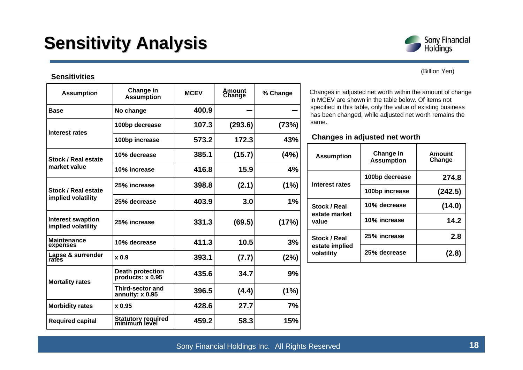### **Sensitivity Analysis Sensitivity Analysis**

#### **Sensitivities**

| <b>Assumption</b>                              | Change in<br><b>Assumption</b>                | <b>MCEV</b> | Amount<br>Change | % Change |
|------------------------------------------------|-----------------------------------------------|-------------|------------------|----------|
| <b>Base</b>                                    | No change                                     | 400.9       |                  |          |
| <b>Interest rates</b>                          | 100bp decrease                                | 107.3       | (293.6)          | (73%)    |
|                                                | 100bp increase                                | 573.2       | 172.3            | 43%      |
| <b>Stock / Real estate</b>                     | 10% decrease                                  | 385.1       | (15.7)           | (4%)     |
| market value                                   | 10% increase                                  | 416.8       | 15.9             | 4%       |
| <b>Stock / Real estate</b>                     | 25% increase                                  | 398.8       | (2.1)            | (1%)     |
| implied volatility                             | 25% decrease                                  | 403.9       | 3.0              | 1%       |
| <b>Interest swaption</b><br>implied volatility | 25% increase                                  | 331.3       | (69.5)           | (17%)    |
| <b>Maintenance</b><br>expenses                 | 10% decrease                                  | 411.3       | 10.5             | 3%       |
| Lapse & surrender<br>rates                     | x <sub>0.9</sub>                              | 393.1       | (7.7)            | (2%)     |
| <b>Mortality rates</b>                         | <b>Death protection</b><br>products: $x$ 0.95 | 435.6       | 34.7             | 9%       |
|                                                | Third-sector and<br>annuity: x 0.95           | 396.5       | (4.4)            | (1%)     |
| <b>Morbidity rates</b>                         | x 0.95                                        | 428.6       | 27.7             | 7%       |
| <b>Required capital</b>                        | Statutory required<br>minimum level           | 459.2       | 58.3             | 15%      |

Changes in adjusted net worth within the amount of change in MCEV are shown in the table below. Of items not specified in this table, only the value of existing business has been changed, while adjusted net worth remains the same.

#### **Changes in adjusted net worth**

| <b>Assumption</b>            | Change in<br><b>Assumption</b> | Amount<br>Change |
|------------------------------|--------------------------------|------------------|
| Interest rates               | 100bp decrease                 | 274.8            |
|                              | 100bp increase                 | (242.5)          |
| Stock / Real                 | 10% decrease                   | (14.0)           |
| estate market<br>value       | 10% increase                   | 14.2             |
| Stock / Real                 | 25% increase                   | 2.8              |
| estate implied<br>volatility | 25% decrease                   | (2.8)            |



(Billion Yen)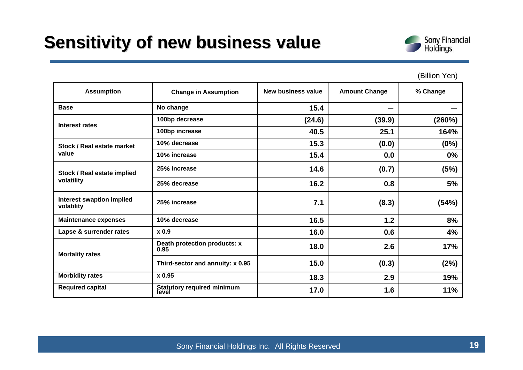### **Sensitivity of new business value**



#### (Billion Yen)

| <b>Assumption</b>                              | <b>Change in Assumption</b>          | <b>New business value</b> | <b>Amount Change</b> | % Change |
|------------------------------------------------|--------------------------------------|---------------------------|----------------------|----------|
| <b>Base</b>                                    | No change                            | 15.4                      | --                   |          |
| Interest rates                                 | 100bp decrease                       | (24.6)                    | (39.9)               | (260%)   |
|                                                | 100bp increase                       | 40.5                      | 25.1                 | 164%     |
| Stock / Real estate market                     | 10% decrease                         | 15.3                      | (0.0)                | (0%)     |
| value                                          | 10% increase                         | 15.4                      | 0.0                  | 0%       |
| Stock / Real estate implied                    | 25% increase                         | 14.6                      | (0.7)                | (5%)     |
| volatility                                     | 25% decrease                         | 16.2                      | 0.8                  | 5%       |
| <b>Interest swaption implied</b><br>volatility | 25% increase                         | 7.1                       | (8.3)                | (54%)    |
| <b>Maintenance expenses</b>                    | 10% decrease                         | 16.5                      | 1.2                  | 8%       |
| Lapse & surrender rates                        | x 0.9                                | 16.0                      | 0.6                  | 4%       |
| <b>Mortality rates</b>                         | Death protection products: x<br>0.95 | 18.0                      | 2.6                  | 17%      |
|                                                | Third-sector and annuity: x 0.95     | 15.0                      | (0.3)                | (2%)     |
| <b>Morbidity rates</b>                         | x 0.95                               | 18.3                      | 2.9                  | 19%      |
| <b>Required capital</b>                        | Statutory required minimum<br>level  | 17.0                      | 1.6                  | 11%      |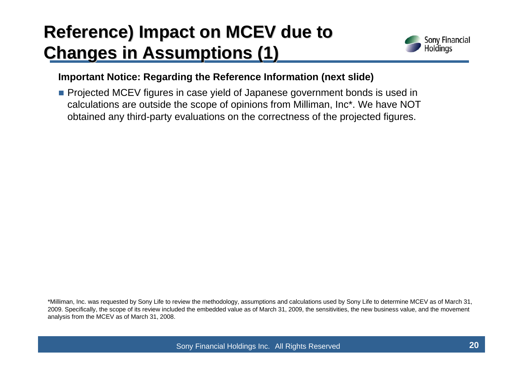## **Reference)** Impact on MCEV due to **Changes in Assumptions Changes in Assumptions (1)**



### **Important Notice: Regarding the Reference Information (next slide)**

**Projected MCEV figures in case yield of Japanese government bonds is used in** calculations are outside the scope of opinions from Milliman, Inc\*. We have NOT obtained any third-party evaluations on the correctness of the projected figures.

\*Milliman, Inc. was requested by Sony Life to review the methodology, assumptions and calculations used by Sony Life to determine MCEV as of March 31, 2009. Specifically, the scope of its review included the embedded value as of March 31, 2009, the sensitivities, the new business value, and the movement analysis from the MCEV as of March 31, 2008.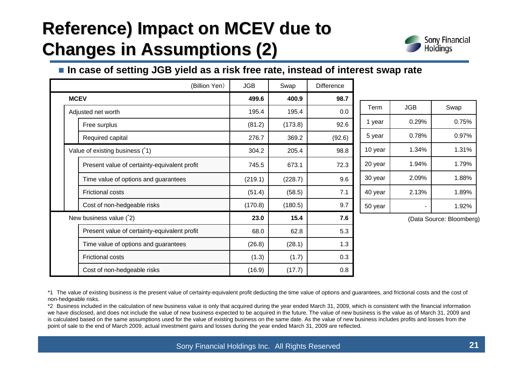## **Reference) Impact on MCEV due to Changes in Assumptions Changes in Assumptions (2)**



### ■ In case of setting JGB yield as a risk free rate, instead of interest swap rate

|             | (Billion Yen)                                | <b>JGB</b> | Swap    | <b>Difference</b> |  |
|-------------|----------------------------------------------|------------|---------|-------------------|--|
| <b>MCEV</b> |                                              | 499.6      | 400.9   | 98.7              |  |
|             | Adjusted net worth                           | 195.4      | 195.4   | 0.0               |  |
|             | Free surplus                                 | (81.2)     | (173.8) | 92.6              |  |
|             | Required capital                             | 276.7      | 369.2   | (92.6)            |  |
|             | Value of existing business (1)               | 304.2      | 205.4   | 98.8              |  |
|             | Present value of certainty-equivalent profit | 745.5      | 673.1   | 72.3              |  |
|             | Time value of options and guarantees         | (219.1)    | (228.7) | 9.6               |  |
|             | <b>Frictional costs</b>                      | (51.4)     | (58.5)  | 7.1               |  |
|             | Cost of non-hedgeable risks                  | (170.8)    | (180.5) | 9.7               |  |
|             | New business value (2)                       | 23.0       | 15.4    | 7.6               |  |
|             | Present value of certainty-equivalent profit | 68.0       | 62.8    | 5.3               |  |
|             | Time value of options and guarantees         | (26.8)     | (28.1)  | 1.3               |  |
|             | <b>Frictional costs</b>                      | (1.3)      | (1.7)   | 0.3               |  |
|             | Cost of non-hedgeable risks                  | (16.9)     | (17.7)  | 0.8               |  |

| Term    | <b>JGB</b> | Swap  |
|---------|------------|-------|
| 1 year  | 0.29%      | 0.75% |
| 5 year  | 0.78%      | 0.97% |
| 10 year | 1.34%      | 1.31% |
| 20 year | 1.94%      | 1.79% |
| 30 year | 2.09%      | 1.88% |
| 40 year | 2.13%      | 1.89% |
| 50 year |            | 1.92% |

(Data Source: Bloomberg)

\*1 The value of existing business is the present value of certainty-equivalent profit deducting the time value of options and guarantees, and frictional costs and the cost of non-hedgeable risks.

\*2 Business included in the calculation of new business value is only that acquired during the year ended March 31, 2009, which is consistent with the financial information we have disclosed, and does not include the value of new business expected to be acquired in the future. The value of new business is the value as of March 31, 2009 and is calculated based on the same assumptions used for the value of existing business on the same date. As the value of new business includes profits and losses from the point of sale to the end of March 2009, actual investment gains and losses during the year ended March 31, 2009 are reflected.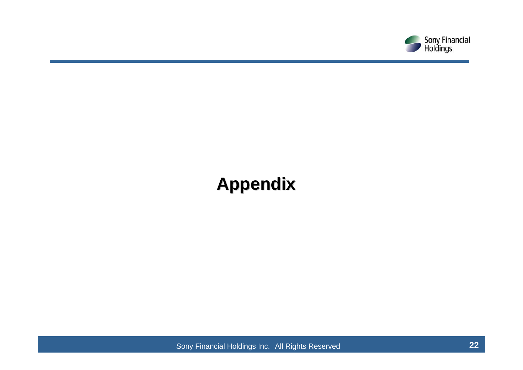

## **Appendix Appendix**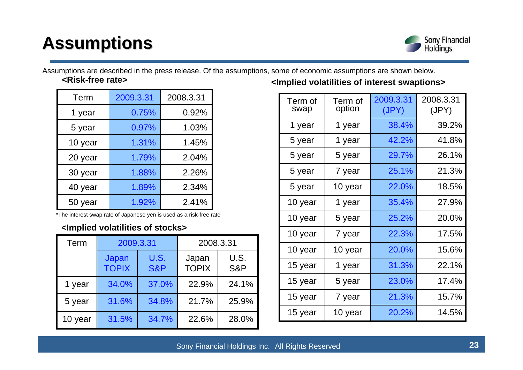## **Assumptions Assumptions**



**<Risk-free rate>**Assumptions are described in the press release. Of the assumptions, some of economic assumptions are shown below.

| Term    | 2009.3.31 | 2008.3.31 |
|---------|-----------|-----------|
| 1 year  | 0.75%     | 0.92%     |
| 5 year  | 0.97%     | 1.03%     |
| 10 year | 1.31%     | 1.45%     |
| 20 year | 1.79%     | 2.04%     |
| 30 year | 1.88%     | 2.26%     |
| 40 year | 1.89%     | 2.34%     |
| 50 year | 1.92%     | 2.41%     |

\*The interest swap rate of Japanese yen is used as a risk-free rate

### **<Implied volatilities of stocks>**

| Term    | 2009.3.31             |                        | 2008.3.31             |             |
|---------|-----------------------|------------------------|-----------------------|-------------|
|         | Japan<br><b>TOPIX</b> | U.S.<br><b>S&amp;P</b> | Japan<br><b>TOPIX</b> | U.S.<br>S&P |
| 1 year  | 34.0%                 | 37.0%                  | 22.9%                 | 24.1%       |
| 5 year  | 31.6%                 | 34.8%                  | 21.7%                 | 25.9%       |
| 10 year | 31.5%                 | 34.7%                  | 22.6%                 | 28.0%       |

**<Implied volatilities of interest swaptions>**

| Term of<br>swap | Term of<br>option | 2009.3.31<br>(JPY) | 2008.3.31<br>(JPY) |
|-----------------|-------------------|--------------------|--------------------|
| 1 year          | 1 year            | 38.4%              | 39.2%              |
| 5 year          | 1 year            | 42.2%              | 41.8%              |
| 5 year          | 5 year            | 29.7%              | 26.1%              |
| 5 year          | 7 year            | 25.1%              | 21.3%              |
| 5 year          | 10 year           | 22.0%              | 18.5%              |
| 10 year         | 1 year            | 35.4%              | 27.9%              |
| 10 year         | 5 year            | 25.2%              | 20.0%              |
| 10 year         | 7 year            | 22.3%              | 17.5%              |
| 10 year         | 10 year           | 20.0%              | 15.6%              |
| 15 year         | 1 year            | 31.3%              | 22.1%              |
| 15 year         | 5 year            | 23.0%              | 17.4%              |
| 15 year         | 7 year            | 21.3%              | 15.7%              |
| 15 year         | 10 year           | 20.2%              | 14.5%              |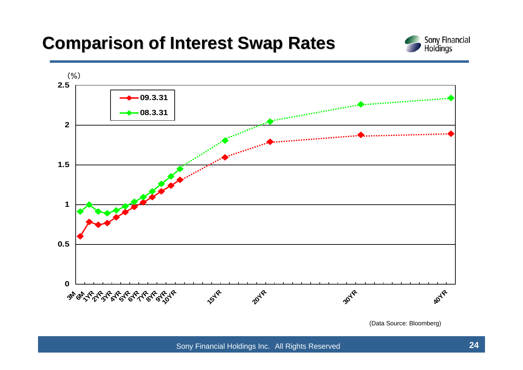### **Comparison of Interest Swap Rates Comparison of Interest Swap Rates**





(Data Source: Bloomberg)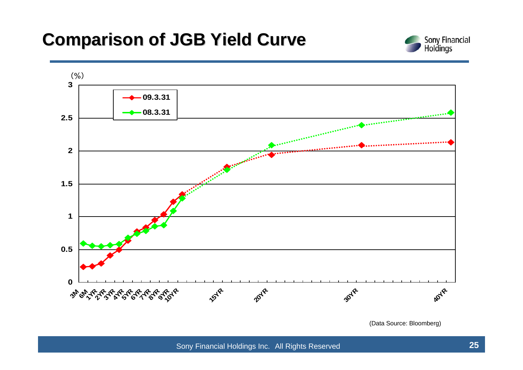### **Comparison of JGB Yield Curve Comparison of JGB Yield Curve**





(Data Source: Bloomberg)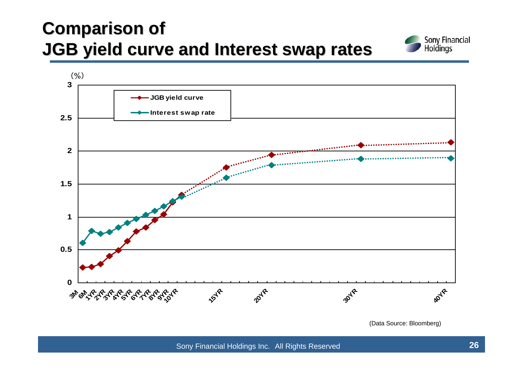### **Comparison of Comparison of JGB yield curve and JGB yield curve and Interest swap rates nterest swap rates**





(Data Source: Bloomberg)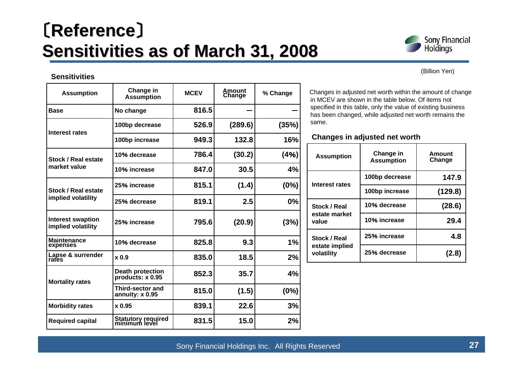## 〔**Reference Reference**〕 **Sensitivities as of March 31, 2008 Sensitivities as of March 31, 2008**



(Billion Yen)

#### **Sensitivities**

| <b>Assumption</b>                              | Change in<br><b>Assumption</b>              | <b>MCEV</b> | Amount<br>Change | % Change |
|------------------------------------------------|---------------------------------------------|-------------|------------------|----------|
| <b>Base</b>                                    | No change                                   | 816.5       |                  |          |
| Interest rates                                 | 100bp decrease                              | 526.9       | (289.6)          | (35%)    |
|                                                | 100bp increase                              | 949.3       | 132.8            | 16%      |
| Stock / Real estate                            | 10% decrease                                | 786.4       | (30.2)           | (4%)     |
| market value                                   | 10% increase                                | 847.0       | 30.5             | 4%       |
| Stock / Real estate                            | 25% increase                                | 815.1       | (1.4)            | (0%)     |
| implied volatility                             | 25% decrease                                | 819.1       | 2.5              | 0%       |
| <b>Interest swaption</b><br>implied volatility | 25% increase                                | 795.6       | (20.9)           | (3%)     |
| <b>Maintenance</b><br>expenses                 | 10% decrease                                | 825.8       | 9.3              | 1%       |
| Lapse & surrender<br>rates                     | $x$ 0.9                                     | 835.0       | 18.5             | 2%       |
| <b>Mortality rates</b>                         | <b>Death protection</b><br>products: x 0.95 | 852.3       | 35.7             | 4%       |
|                                                | <b>Third-sector and</b><br>annuity: x 0.95  | 815.0       | (1.5)            | (0%)     |
| <b>Morbidity rates</b>                         | $x$ 0.95                                    | 839.1       | 22.6             | 3%       |
| <b>Required capital</b>                        | Statutory required<br>minimum level         | 831.5       | 15.0             | 2%       |

Changes in adjusted net worth within the amount of change in MCEV are shown in the table below. Of items not specified in this table, only the value of existing business has been changed, while adjusted net worth remains the same.

#### **Changes in adjusted net worth**

| <b>Assumption</b>            | Change in<br><b>Assumption</b> | Amount<br>Change |
|------------------------------|--------------------------------|------------------|
| <b>Interest rates</b>        | 100bp decrease                 | 147.9            |
|                              | 100bp increase                 | (129.8)          |
| Stock / Real                 | 10% decrease                   | (28.6)           |
| estate market<br>value       | 10% increase                   | 29.4             |
| Stock / Real                 | 25% increase                   | 4.8              |
| estate implied<br>volatility | 25% decrease                   | (2.8)            |